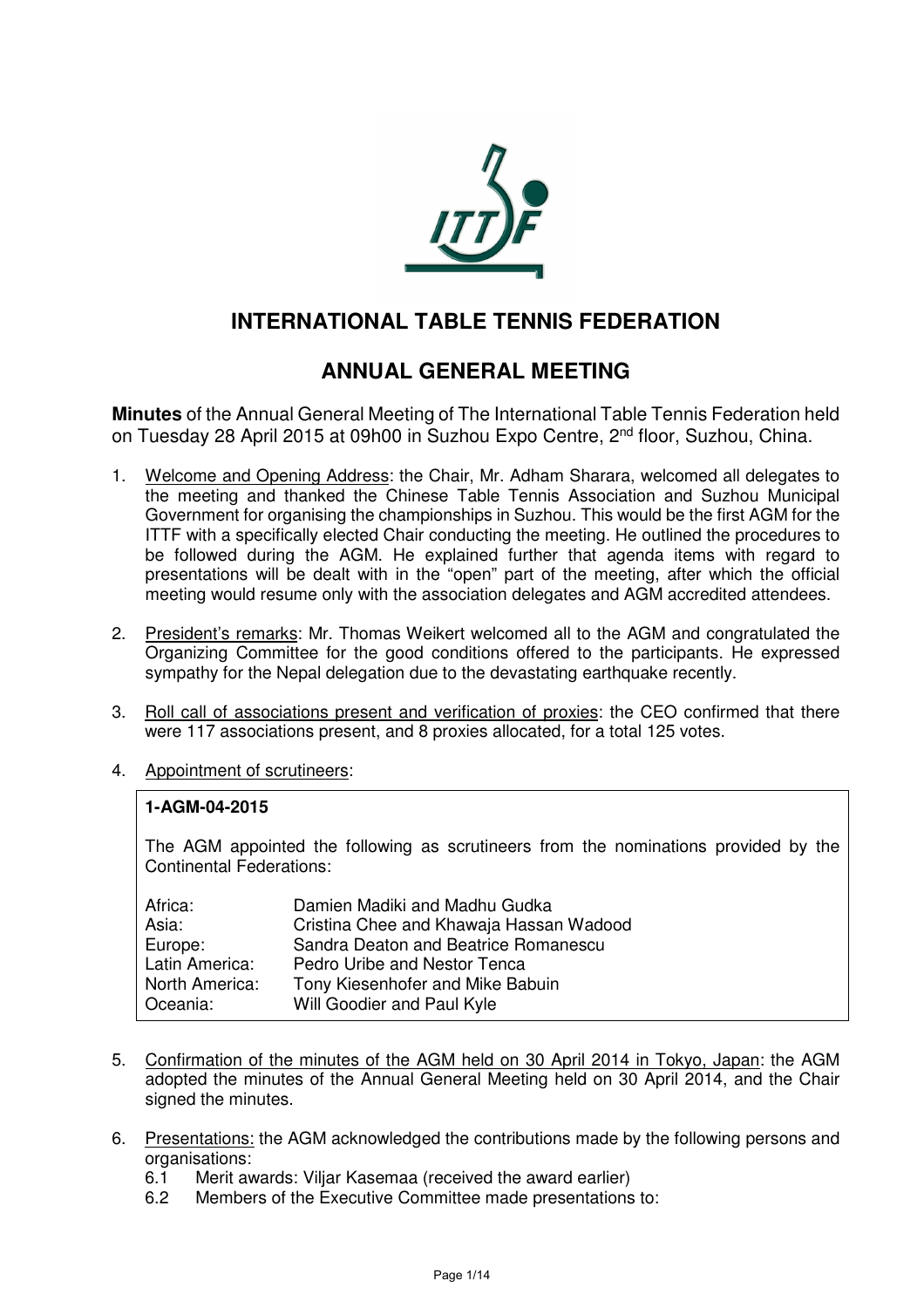

# **INTERNATIONAL TABLE TENNIS FEDERATION**

# **ANNUAL GENERAL MEETING**

**Minutes** of the Annual General Meeting of The International Table Tennis Federation held on Tuesday 28 April 2015 at 09h00 in Suzhou Expo Centre, 2nd floor, Suzhou, China.

- 1. Welcome and Opening Address: the Chair, Mr. Adham Sharara, welcomed all delegates to the meeting and thanked the Chinese Table Tennis Association and Suzhou Municipal Government for organising the championships in Suzhou. This would be the first AGM for the ITTF with a specifically elected Chair conducting the meeting. He outlined the procedures to be followed during the AGM. He explained further that agenda items with regard to presentations will be dealt with in the "open" part of the meeting, after which the official meeting would resume only with the association delegates and AGM accredited attendees.
- 2. President's remarks: Mr. Thomas Weikert welcomed all to the AGM and congratulated the Organizing Committee for the good conditions offered to the participants. He expressed sympathy for the Nepal delegation due to the devastating earthquake recently.
- 3. Roll call of associations present and verification of proxies: the CEO confirmed that there were 117 associations present, and 8 proxies allocated, for a total 125 votes.
- 4. Appointment of scrutineers:

#### **1-AGM-04-2015**

The AGM appointed the following as scrutineers from the nominations provided by the Continental Federations:

| Africa:        | Damien Madiki and Madhu Gudka           |
|----------------|-----------------------------------------|
| Asia:          | Cristina Chee and Khawaja Hassan Wadood |
| Europe:        | Sandra Deaton and Beatrice Romanescu    |
| Latin America: | Pedro Uribe and Nestor Tenca            |
| North America: | Tony Kiesenhofer and Mike Babuin        |
| Oceania:       | Will Goodier and Paul Kyle              |

- 5. Confirmation of the minutes of the AGM held on 30 April 2014 in Tokyo, Japan: the AGM adopted the minutes of the Annual General Meeting held on 30 April 2014, and the Chair signed the minutes.
- 6. Presentations: the AGM acknowledged the contributions made by the following persons and organisations:
	- 6.1 Merit awards: Viljar Kasemaa (received the award earlier)<br>6.2 Members of the Executive Committee made presentations
	- Members of the Executive Committee made presentations to: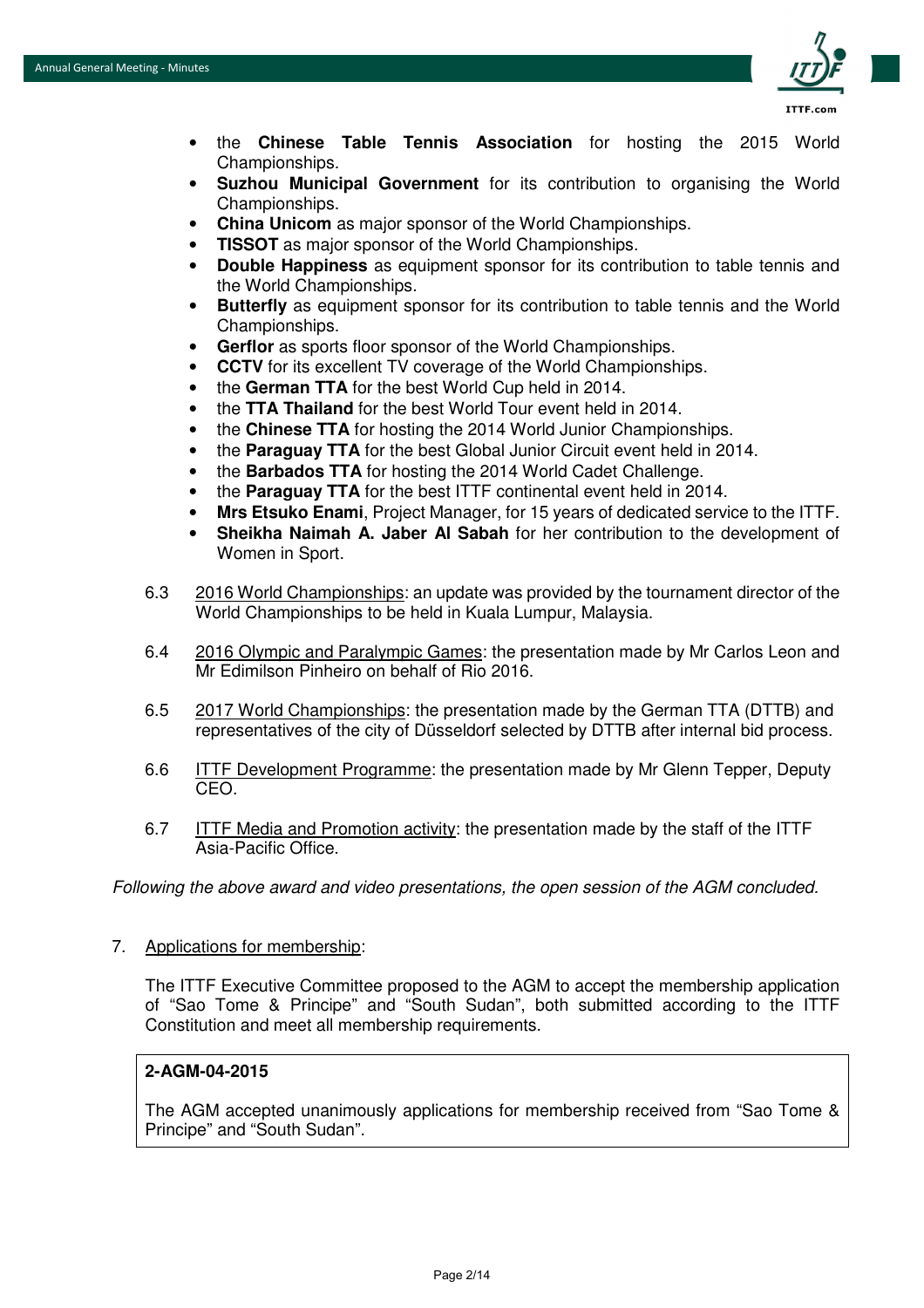

- the **Chinese Table Tennis Association** for hosting the 2015 World Championships.
- **Suzhou Municipal Government** for its contribution to organising the World Championships.
- **China Unicom** as major sponsor of the World Championships.
- **TISSOT** as major sponsor of the World Championships.
- **Double Happiness** as equipment sponsor for its contribution to table tennis and the World Championships.
- **Butterfly** as equipment sponsor for its contribution to table tennis and the World Championships.
- **Gerflor** as sports floor sponsor of the World Championships.
- **CCTV** for its excellent TV coverage of the World Championships.
- the **German TTA** for the best World Cup held in 2014.
- the **TTA Thailand** for the best World Tour event held in 2014.
- the **Chinese TTA** for hosting the 2014 World Junior Championships.
- the **Paraguay TTA** for the best Global Junior Circuit event held in 2014.
- the **Barbados TTA** for hosting the 2014 World Cadet Challenge.
- the **Paraguay TTA** for the best ITTF continental event held in 2014.
- **Mrs Etsuko Enami**, Project Manager, for 15 years of dedicated service to the ITTF.
- **Sheikha Naimah A. Jaber Al Sabah** for her contribution to the development of Women in Sport.
- 6.3 2016 World Championships: an update was provided by the tournament director of the World Championships to be held in Kuala Lumpur, Malaysia.
- 6.4 2016 Olympic and Paralympic Games: the presentation made by Mr Carlos Leon and Mr Edimilson Pinheiro on behalf of Rio 2016.
- 6.5 2017 World Championships: the presentation made by the German TTA (DTTB) and representatives of the city of Düsseldorf selected by DTTB after internal bid process.
- 6.6 ITTF Development Programme: the presentation made by Mr Glenn Tepper, Deputy CEO.
- 6.7 ITTF Media and Promotion activity: the presentation made by the staff of the ITTF Asia-Pacific Office.

*Following the above award and video presentations, the open session of the AGM concluded.* 

7. Applications for membership:

The ITTF Executive Committee proposed to the AGM to accept the membership application of "Sao Tome & Principe" and "South Sudan", both submitted according to the ITTF Constitution and meet all membership requirements.

#### **2-AGM-04-2015**

The AGM accepted unanimously applications for membership received from "Sao Tome & Principe" and "South Sudan".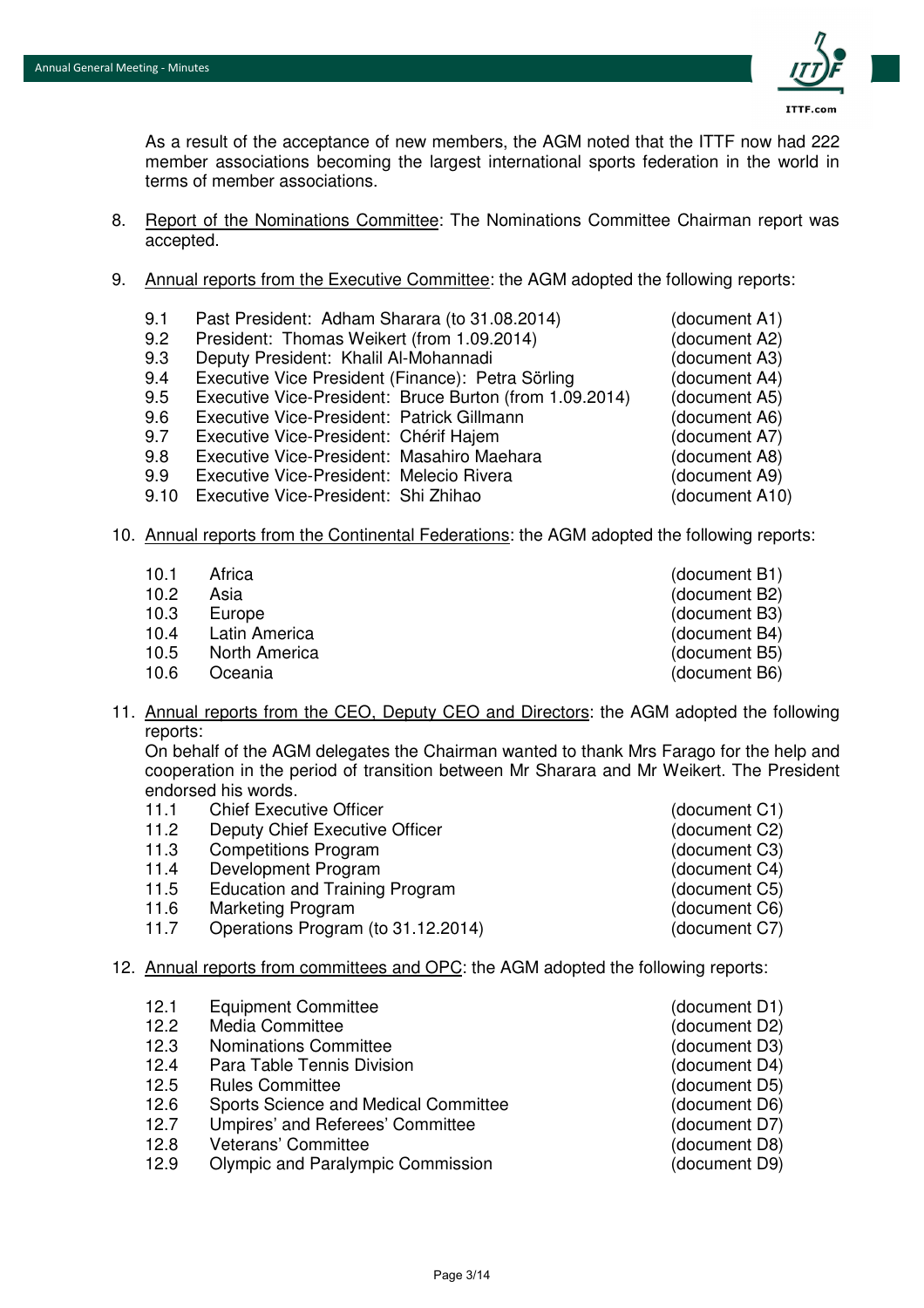

As a result of the acceptance of new members, the AGM noted that the ITTF now had 222 member associations becoming the largest international sports federation in the world in terms of member associations.

- 8. Report of the Nominations Committee: The Nominations Committee Chairman report was accepted.
- 9. Annual reports from the Executive Committee: the AGM adopted the following reports:
	- 9.1 Past President: Adham Sharara (to 31.08.2014) (document A1)
	- 9.2 President: Thomas Weikert (from 1.09.2014) (document A2)
	- 9.3 Deputy President: Khalil Al-Mohannadi (document A3)
	- 9.4 Executive Vice President (Finance): Petra Sörling (document A4)
	- 9.5 Executive Vice-President: Bruce Burton (from 1.09.2014) (document A5)
	- 9.6 Executive Vice-President: Patrick Gillmann (document A6)
	- 9.7 Executive Vice-President: Chérif Hajem (document A7)
	- 9.8 Executive Vice-President: Masahiro Maehara (document A8)
	- 9.9 Executive Vice-President: Melecio Rivera (document A9)
	- 9.10 Executive Vice-President: Shi Zhihao (document A10)
- 10. Annual reports from the Continental Federations: the AGM adopted the following reports:
	- 10.1 Africa (document B1)
	- 10.2 Asia (document B2)
	- 10.3 Europe (document B3)
	- 10.4 Latin America (document B4)
	- 10.5 North America (document B5)
	- 10.6 Oceania (document B6)
- 11. Annual reports from the CEO, Deputy CEO and Directors: the AGM adopted the following reports:

On behalf of the AGM delegates the Chairman wanted to thank Mrs Farago for the help and cooperation in the period of transition between Mr Sharara and Mr Weikert. The President endorsed his words.

- 11.1 Chief Executive Officer (document C1)<br>
11.2 Deputy Chief Executive Officer (document C2) 11.2 Deputy Chief Executive Officer (document C2) 11.3 Competitions Program (document C3) 11.4 Development Program (document C4) 11.5 Education and Training Program (document C5) 11.6 Marketing Program (document C6) 11.7 Operations Program (to 31.12.2014) (document C7)
- 12. Annual reports from committees and OPC: the AGM adopted the following reports:

| 12.1 | <b>Equipment Committee</b>           | (document D1) |
|------|--------------------------------------|---------------|
| 12.2 | Media Committee                      | (document D2) |
| 12.3 | <b>Nominations Committee</b>         | (document D3) |
| 12.4 | Para Table Tennis Division           | (document D4) |
| 12.5 | <b>Rules Committee</b>               | (document D5) |
| 12.6 | Sports Science and Medical Committee | (document D6) |
| 12.7 | Umpires' and Referees' Committee     | (document D7) |
| 12.8 | Veterans' Committee                  | (document D8) |
| 12.9 | Olympic and Paralympic Commission    | (document D9) |
|      |                                      |               |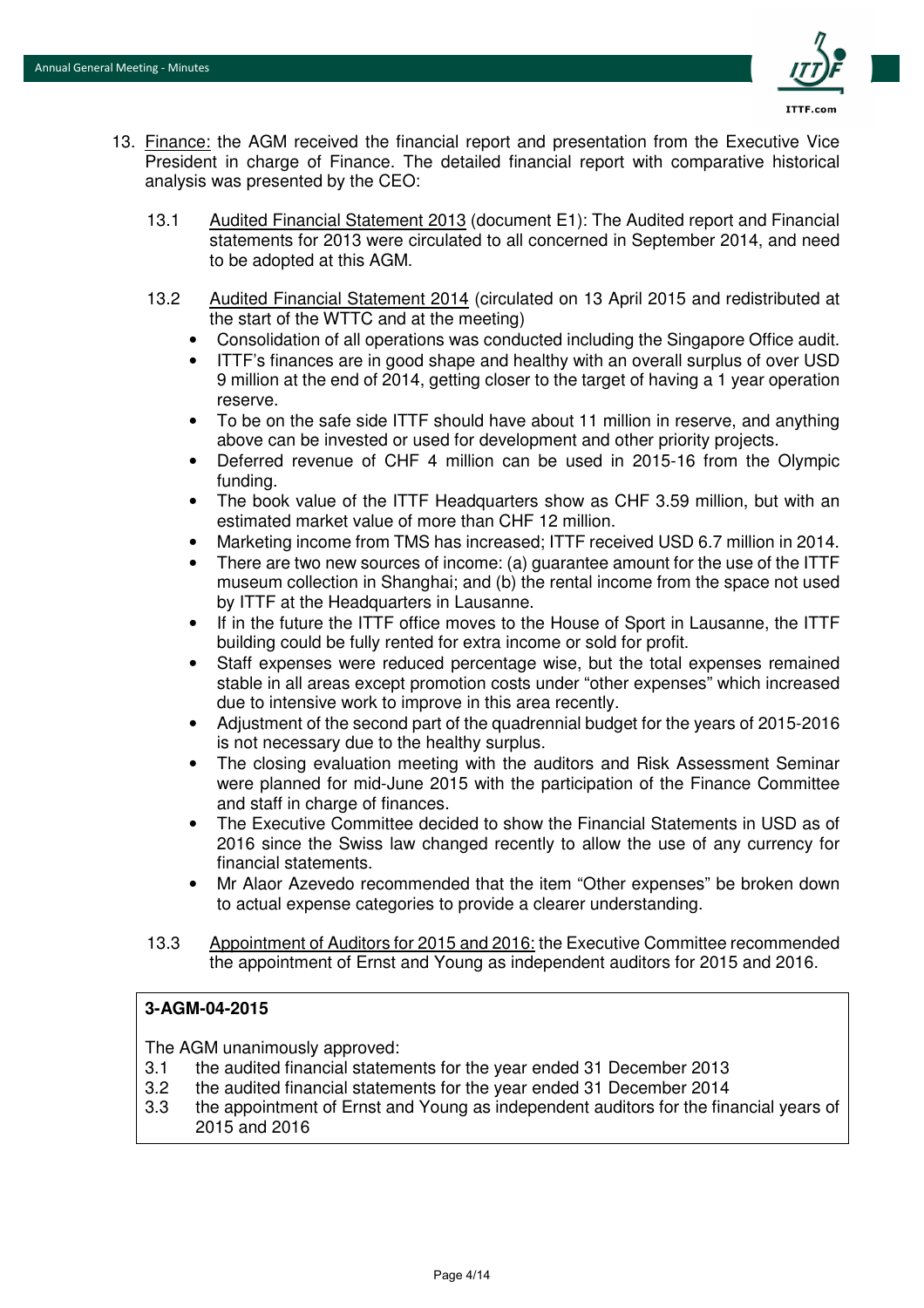

- 13. Finance: the AGM received the financial report and presentation from the Executive Vice President in charge of Finance. The detailed financial report with comparative historical analysis was presented by the CEO:
	- 13.1 Audited Financial Statement 2013 (document E1): The Audited report and Financial statements for 2013 were circulated to all concerned in September 2014, and need to be adopted at this AGM.
	- 13.2 Audited Financial Statement 2014 (circulated on 13 April 2015 and redistributed at the start of the WTTC and at the meeting)
		- Consolidation of all operations was conducted including the Singapore Office audit.
		- ITTF's finances are in good shape and healthy with an overall surplus of over USD 9 million at the end of 2014, getting closer to the target of having a 1 year operation reserve.
		- To be on the safe side ITTF should have about 11 million in reserve, and anything above can be invested or used for development and other priority projects.
		- Deferred revenue of CHF 4 million can be used in 2015-16 from the Olympic funding.
		- The book value of the ITTF Headquarters show as CHF 3.59 million, but with an estimated market value of more than CHF 12 million.
		- Marketing income from TMS has increased; ITTF received USD 6.7 million in 2014.
		- There are two new sources of income: (a) guarantee amount for the use of the ITTF museum collection in Shanghai; and (b) the rental income from the space not used by ITTF at the Headquarters in Lausanne.
		- If in the future the ITTF office moves to the House of Sport in Lausanne, the ITTF building could be fully rented for extra income or sold for profit.
		- Staff expenses were reduced percentage wise, but the total expenses remained stable in all areas except promotion costs under "other expenses" which increased due to intensive work to improve in this area recently.
		- Adjustment of the second part of the quadrennial budget for the years of 2015-2016 is not necessary due to the healthy surplus.
		- The closing evaluation meeting with the auditors and Risk Assessment Seminar were planned for mid-June 2015 with the participation of the Finance Committee and staff in charge of finances.
		- The Executive Committee decided to show the Financial Statements in USD as of 2016 since the Swiss law changed recently to allow the use of any currency for financial statements.
		- Mr Alaor Azevedo recommended that the item "Other expenses" be broken down to actual expense categories to provide a clearer understanding.
	- 13.3 Appointment of Auditors for 2015 and 2016: the Executive Committee recommended the appointment of Ernst and Young as independent auditors for 2015 and 2016.

#### **3-AGM-04-2015**

The AGM unanimously approved:

- 3.1 the audited financial statements for the year ended 31 December 2013
- 3.2 the audited financial statements for the year ended 31 December 2014
- 3.3 the appointment of Ernst and Young as independent auditors for the financial years of 2015 and 2016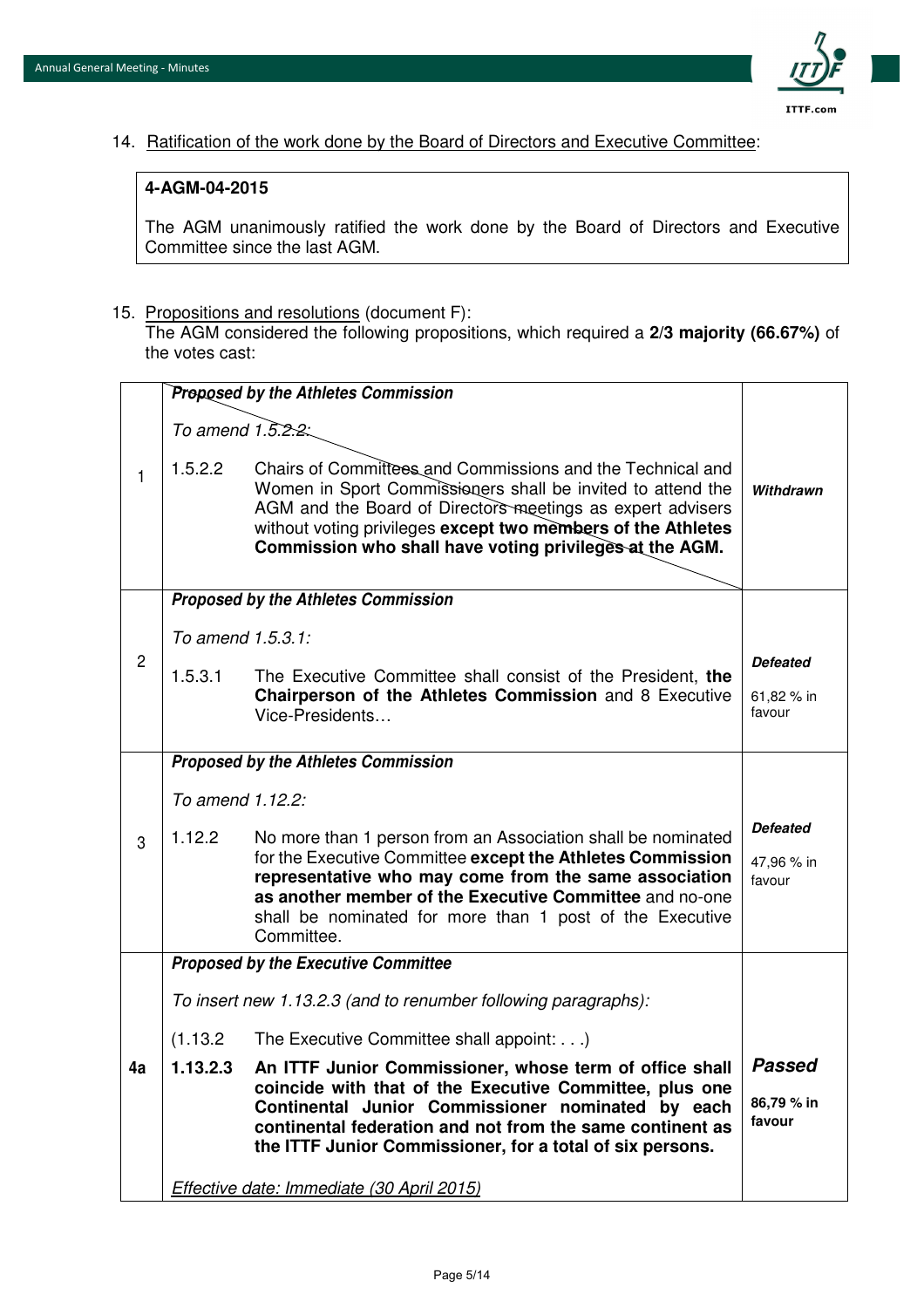

14. Ratification of the work done by the Board of Directors and Executive Committee:

#### **4-AGM-04-2015**

The AGM unanimously ratified the work done by the Board of Directors and Executive Committee since the last AGM.

15. Propositions and resolutions (document F):

The AGM considered the following propositions, which required a **2/3 majority (66.67%)** of the votes cast:

|                |                                                                | Proposed by the Athletes Commission                                                                                                                                                                                                                                                                                      |                                         |
|----------------|----------------------------------------------------------------|--------------------------------------------------------------------------------------------------------------------------------------------------------------------------------------------------------------------------------------------------------------------------------------------------------------------------|-----------------------------------------|
| $\mathbf{1}$   | To amend $1.\overline{5}.\overline{2}.\overline{2}$ :          |                                                                                                                                                                                                                                                                                                                          |                                         |
|                | 1.5.2.2                                                        | Chairs of Committees and Commissions and the Technical and<br>Women in Sport Commissioners shall be invited to attend the<br>AGM and the Board of Directors meetings as expert advisers<br>without voting privileges except two members of the Athletes<br>Commission who shall have voting privileges at the AGM.       | Withdrawn                               |
|                |                                                                | <b>Proposed by the Athletes Commission</b>                                                                                                                                                                                                                                                                               |                                         |
|                | To amend 1.5.3.1:                                              |                                                                                                                                                                                                                                                                                                                          |                                         |
| $\overline{c}$ | 1.5.3.1                                                        | The Executive Committee shall consist of the President, the                                                                                                                                                                                                                                                              | <b>Defeated</b>                         |
|                |                                                                | Chairperson of the Athletes Commission and 8 Executive<br>Vice-Presidents                                                                                                                                                                                                                                                | 61,82 % in<br>favour                    |
|                |                                                                | Proposed by the Athletes Commission                                                                                                                                                                                                                                                                                      |                                         |
|                | To amend 1.12.2:                                               |                                                                                                                                                                                                                                                                                                                          |                                         |
| 3              | 1.12.2                                                         | No more than 1 person from an Association shall be nominated<br>for the Executive Committee except the Athletes Commission<br>representative who may come from the same association<br>as another member of the Executive Committee and no-one<br>shall be nominated for more than 1 post of the Executive<br>Committee. | <b>Defeated</b><br>47,96 % in<br>favour |
|                |                                                                | <b>Proposed by the Executive Committee</b>                                                                                                                                                                                                                                                                               |                                         |
|                | To insert new 1.13.2.3 (and to renumber following paragraphs): |                                                                                                                                                                                                                                                                                                                          |                                         |
|                | (1.13.2)                                                       | The Executive Committee shall appoint:)                                                                                                                                                                                                                                                                                  |                                         |
| 4a             | 1.13.2.3                                                       | An ITTF Junior Commissioner, whose term of office shall<br>coincide with that of the Executive Committee, plus one<br>Continental Junior Commissioner nominated by each<br>continental federation and not from the same continent as<br>the ITTF Junior Commissioner, for a total of six persons.                        | <b>Passed</b><br>86,79 % in<br>favour   |
|                |                                                                | Effective date: Immediate (30 April 2015)                                                                                                                                                                                                                                                                                |                                         |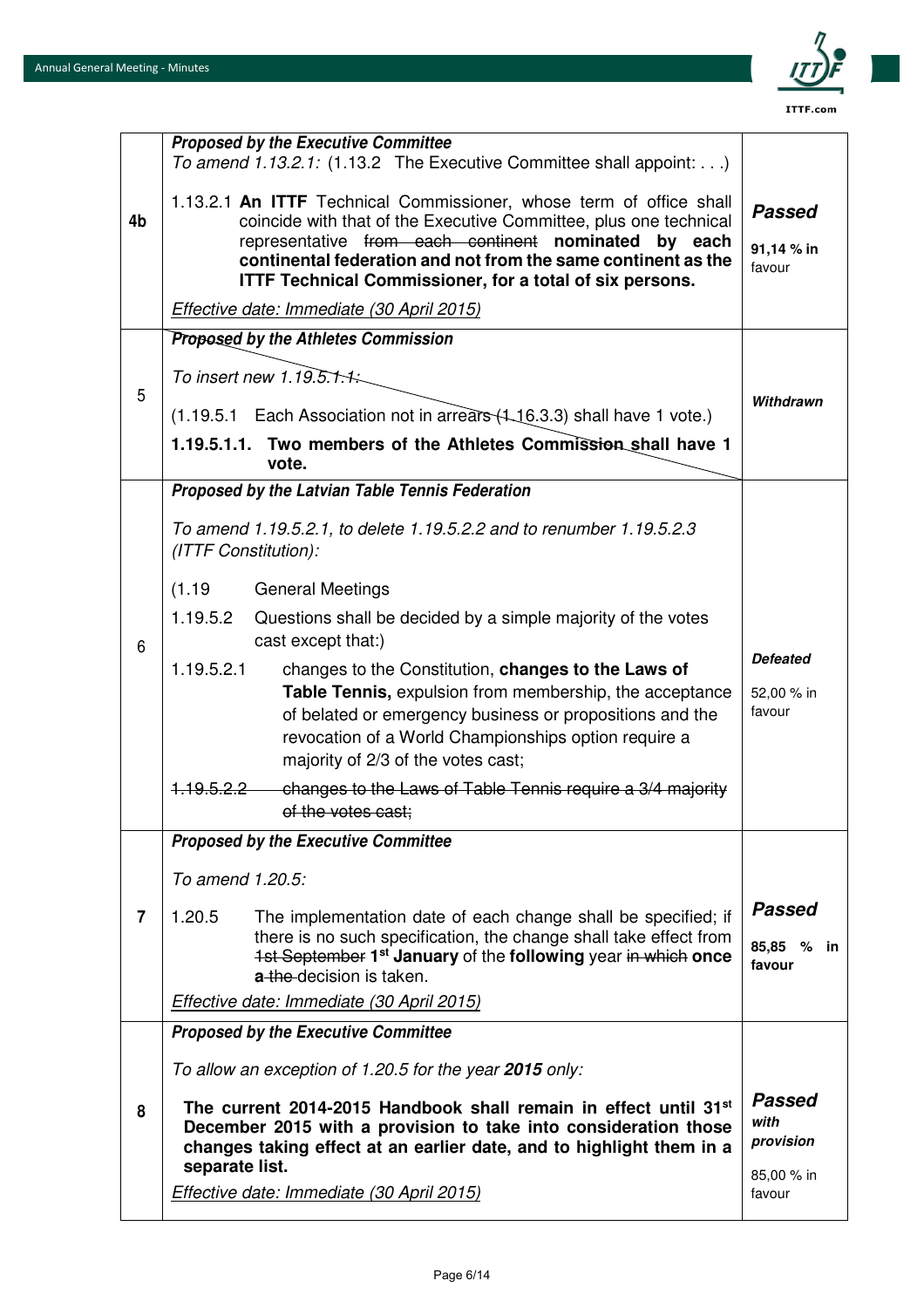

 $\overline{\phantom{0}}$ 

|                | <b>Proposed by the Executive Committee</b><br>To amend 1.13.2.1: (1.13.2 The Executive Committee shall appoint:)                                                                                                              |                                    |
|----------------|-------------------------------------------------------------------------------------------------------------------------------------------------------------------------------------------------------------------------------|------------------------------------|
|                | 1.13.2.1 An ITTF Technical Commissioner, whose term of office shall                                                                                                                                                           | <b>Passed</b>                      |
| 4b             | coincide with that of the Executive Committee, plus one technical<br>representative from each continent nominated by each                                                                                                     |                                    |
|                | continental federation and not from the same continent as the<br><b>ITTF Technical Commissioner, for a total of six persons.</b>                                                                                              | 91,14 % in<br>favour               |
|                | Effective date: Immediate (30 April 2015)                                                                                                                                                                                     |                                    |
|                | Proposed by the Athletes Commission                                                                                                                                                                                           |                                    |
| 5              | To insert new 1.19.5.1.1.                                                                                                                                                                                                     |                                    |
|                | (1.19.5.1 Each Association not in arrears (1.16.3.3) shall have 1 vote.)                                                                                                                                                      | Withdrawn                          |
|                | 1.19.5.1.1. Two members of the Athletes Commission shall have 1<br>vote.                                                                                                                                                      |                                    |
|                | Proposed by the Latvian Table Tennis Federation                                                                                                                                                                               |                                    |
|                | To amend 1.19.5.2.1, to delete 1.19.5.2.2 and to renumber 1.19.5.2.3<br>(ITTF Constitution):                                                                                                                                  |                                    |
|                | (1.19)<br><b>General Meetings</b>                                                                                                                                                                                             |                                    |
| 6              | 1.19.5.2<br>Questions shall be decided by a simple majority of the votes<br>cast except that:)                                                                                                                                |                                    |
|                | 1.19.5.2.1<br>changes to the Constitution, changes to the Laws of                                                                                                                                                             | <b>Defeated</b>                    |
|                | Table Tennis, expulsion from membership, the acceptance<br>of belated or emergency business or propositions and the                                                                                                           | 52,00 % in<br>favour               |
|                | revocation of a World Championships option require a                                                                                                                                                                          |                                    |
|                | majority of 2/3 of the votes cast;                                                                                                                                                                                            |                                    |
|                | changes to the Laws of Table Tennis require a 3/4 majority<br><del>1.19.5.2.2</del><br>of the votes cast;                                                                                                                     |                                    |
|                | <b>Proposed by the Executive Committee</b>                                                                                                                                                                                    |                                    |
|                | To amend 1.20.5:                                                                                                                                                                                                              |                                    |
| $\overline{7}$ | 1.20.5<br>The implementation date of each change shall be specified; if                                                                                                                                                       | <b>Passed</b>                      |
|                | there is no such specification, the change shall take effect from<br>1st September 1 <sup>st</sup> January of the following year in which once<br>a the decision is taken.                                                    | 85,85 % in<br>favour               |
|                | Effective date: Immediate (30 April 2015)                                                                                                                                                                                     |                                    |
|                | <b>Proposed by the Executive Committee</b>                                                                                                                                                                                    |                                    |
| 8              | To allow an exception of 1.20.5 for the year 2015 only:                                                                                                                                                                       |                                    |
|                | The current 2014-2015 Handbook shall remain in effect until 31st<br>December 2015 with a provision to take into consideration those<br>changes taking effect at an earlier date, and to highlight them in a<br>separate list. | <b>Passed</b><br>with<br>provision |
|                | <b>Effective date: Immediate (30 April 2015)</b>                                                                                                                                                                              | 85,00 % in<br>favour               |
|                |                                                                                                                                                                                                                               |                                    |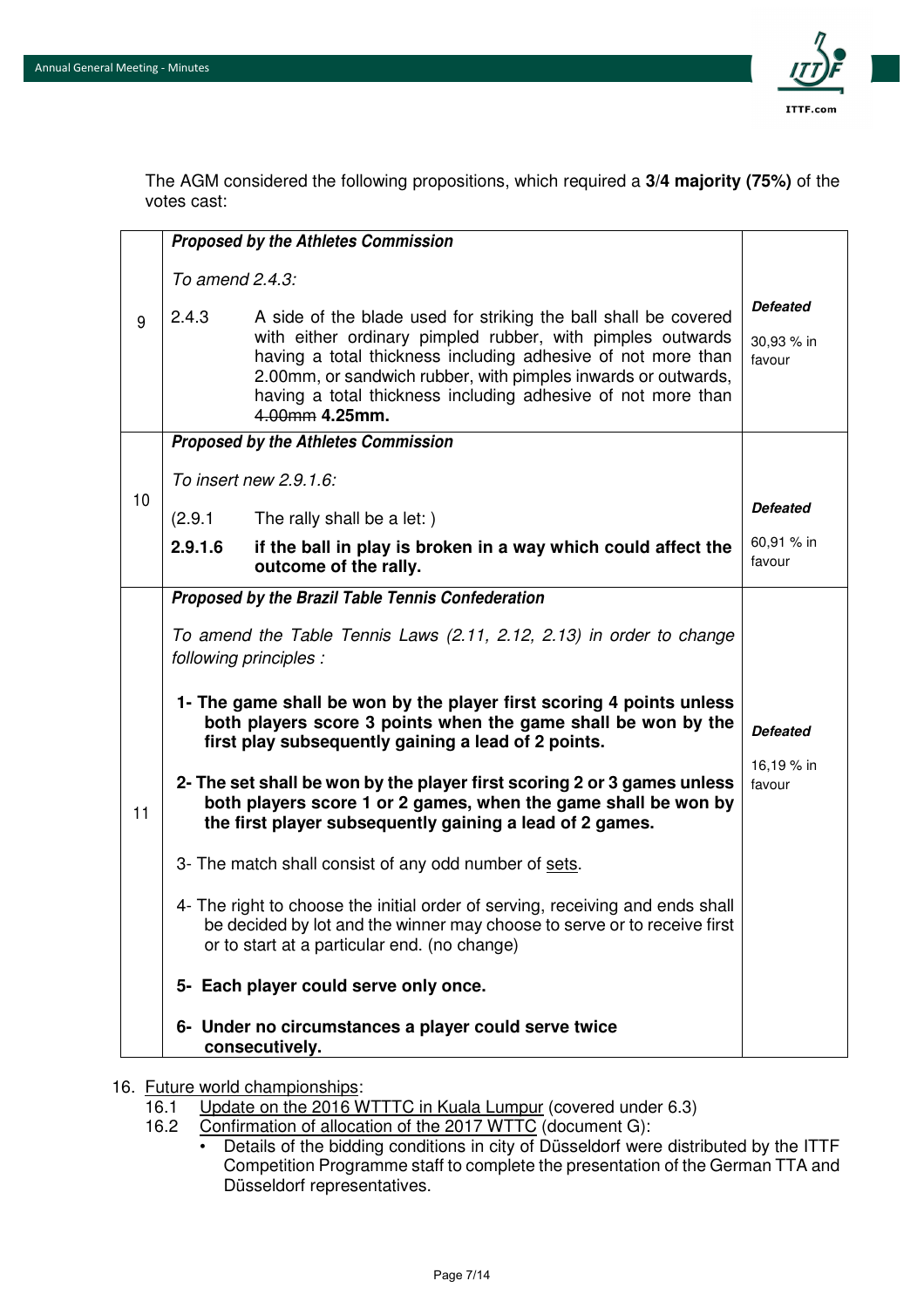

The AGM considered the following propositions, which required a **3/4 majority (75%)** of the votes cast:

|    |                 | <b>Proposed by the Athletes Commission</b>                                                                                                                                                                                                                                                                                                       |                                         |
|----|-----------------|--------------------------------------------------------------------------------------------------------------------------------------------------------------------------------------------------------------------------------------------------------------------------------------------------------------------------------------------------|-----------------------------------------|
|    | To amend 2.4.3: |                                                                                                                                                                                                                                                                                                                                                  |                                         |
| 9  | 2.4.3           | A side of the blade used for striking the ball shall be covered<br>with either ordinary pimpled rubber, with pimples outwards<br>having a total thickness including adhesive of not more than<br>2.00mm, or sandwich rubber, with pimples inwards or outwards,<br>having a total thickness including adhesive of not more than<br>4.00mm 4.25mm. | <b>Defeated</b><br>30,93 % in<br>favour |
|    |                 | <b>Proposed by the Athletes Commission</b>                                                                                                                                                                                                                                                                                                       |                                         |
|    |                 | To insert new 2.9.1.6:                                                                                                                                                                                                                                                                                                                           |                                         |
| 10 | (2.9.1)         | The rally shall be a let: )                                                                                                                                                                                                                                                                                                                      | <b>Defeated</b>                         |
|    | 2.9.1.6         | if the ball in play is broken in a way which could affect the<br>outcome of the rally.                                                                                                                                                                                                                                                           | 60,91 % in<br>favour                    |
|    |                 | Proposed by the Brazil Table Tennis Confederation                                                                                                                                                                                                                                                                                                |                                         |
|    |                 | To amend the Table Tennis Laws (2.11, 2.12, 2.13) in order to change<br>following principles :                                                                                                                                                                                                                                                   |                                         |
|    |                 | 1- The game shall be won by the player first scoring 4 points unless<br>both players score 3 points when the game shall be won by the<br>first play subsequently gaining a lead of 2 points.                                                                                                                                                     | <b>Defeated</b>                         |
| 11 |                 | 2- The set shall be won by the player first scoring 2 or 3 games unless<br>both players score 1 or 2 games, when the game shall be won by<br>the first player subsequently gaining a lead of 2 games.                                                                                                                                            | 16,19 % in<br>favour                    |
|    |                 | 3- The match shall consist of any odd number of sets.                                                                                                                                                                                                                                                                                            |                                         |
|    |                 | 4- The right to choose the initial order of serving, receiving and ends shall<br>be decided by lot and the winner may choose to serve or to receive first<br>or to start at a particular end. (no change)                                                                                                                                        |                                         |
|    |                 | 5- Each player could serve only once.                                                                                                                                                                                                                                                                                                            |                                         |
|    |                 | 6- Under no circumstances a player could serve twice<br>consecutively.                                                                                                                                                                                                                                                                           |                                         |

16. <u>Future world championships:</u><br>16.1 Update on the 2016 W

- Update on the 2016 WTTTC in Kuala Lumpur (covered under 6.3)
- 16.2 Confirmation of allocation of the 2017 WTTC (document G):
	- Details of the bidding conditions in city of Düsseldorf were distributed by the ITTF Competition Programme staff to complete the presentation of the German TTA and Düsseldorf representatives.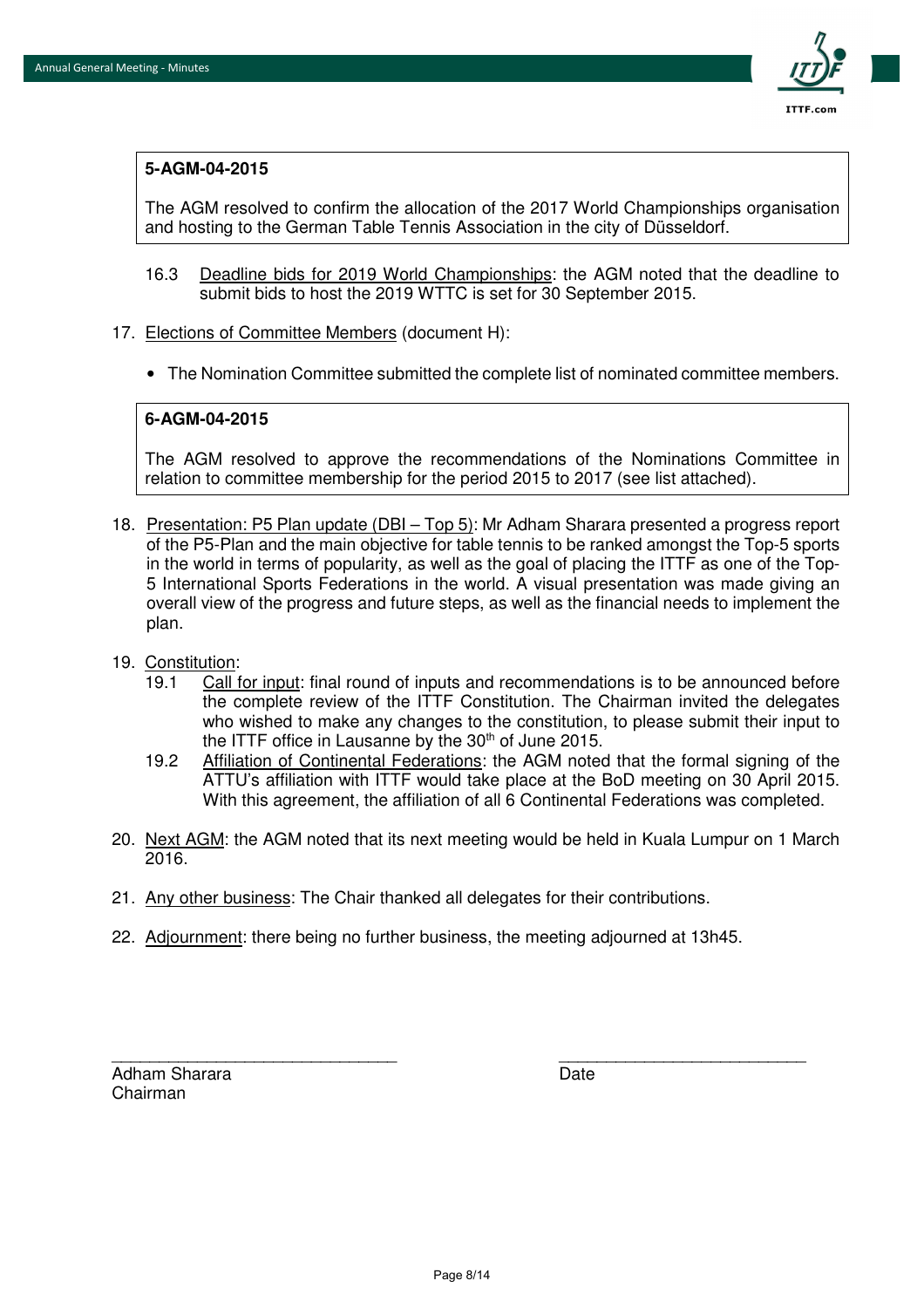

#### **5-AGM-04-2015**

The AGM resolved to confirm the allocation of the 2017 World Championships organisation and hosting to the German Table Tennis Association in the city of Düsseldorf.

- 16.3 Deadline bids for 2019 World Championships: the AGM noted that the deadline to submit bids to host the 2019 WTTC is set for 30 September 2015.
- 17. Elections of Committee Members (document H):
	- The Nomination Committee submitted the complete list of nominated committee members.

#### **6-AGM-04-2015**

The AGM resolved to approve the recommendations of the Nominations Committee in relation to committee membership for the period 2015 to 2017 (see list attached).

- 18. Presentation: P5 Plan update (DBI Top 5): Mr Adham Sharara presented a progress report of the P5-Plan and the main objective for table tennis to be ranked amongst the Top-5 sports in the world in terms of popularity, as well as the goal of placing the ITTF as one of the Top-5 International Sports Federations in the world. A visual presentation was made giving an overall view of the progress and future steps, as well as the financial needs to implement the plan.
- 19. Constitution:
	- 19.1 Call for input: final round of inputs and recommendations is to be announced before the complete review of the ITTF Constitution. The Chairman invited the delegates who wished to make any changes to the constitution, to please submit their input to the ITTF office in Lausanne by the  $30<sup>th</sup>$  of June 2015.
	- 19.2 Affiliation of Continental Federations: the AGM noted that the formal signing of the ATTU's affiliation with ITTF would take place at the BoD meeting on 30 April 2015. With this agreement, the affiliation of all 6 Continental Federations was completed.
- 20. Next AGM: the AGM noted that its next meeting would be held in Kuala Lumpur on 1 March 2016.
- 21. Any other business: The Chair thanked all delegates for their contributions.
- 22. Adjournment: there being no further business, the meeting adjourned at 13h45.

Adham Sharara **Date** Date **Date** Chairman

\_\_\_\_\_\_\_\_\_\_\_\_\_\_\_\_\_\_\_\_\_\_\_\_\_\_\_\_\_\_ \_\_\_\_\_\_\_\_\_\_\_\_\_\_\_\_\_\_\_\_\_\_\_\_\_\_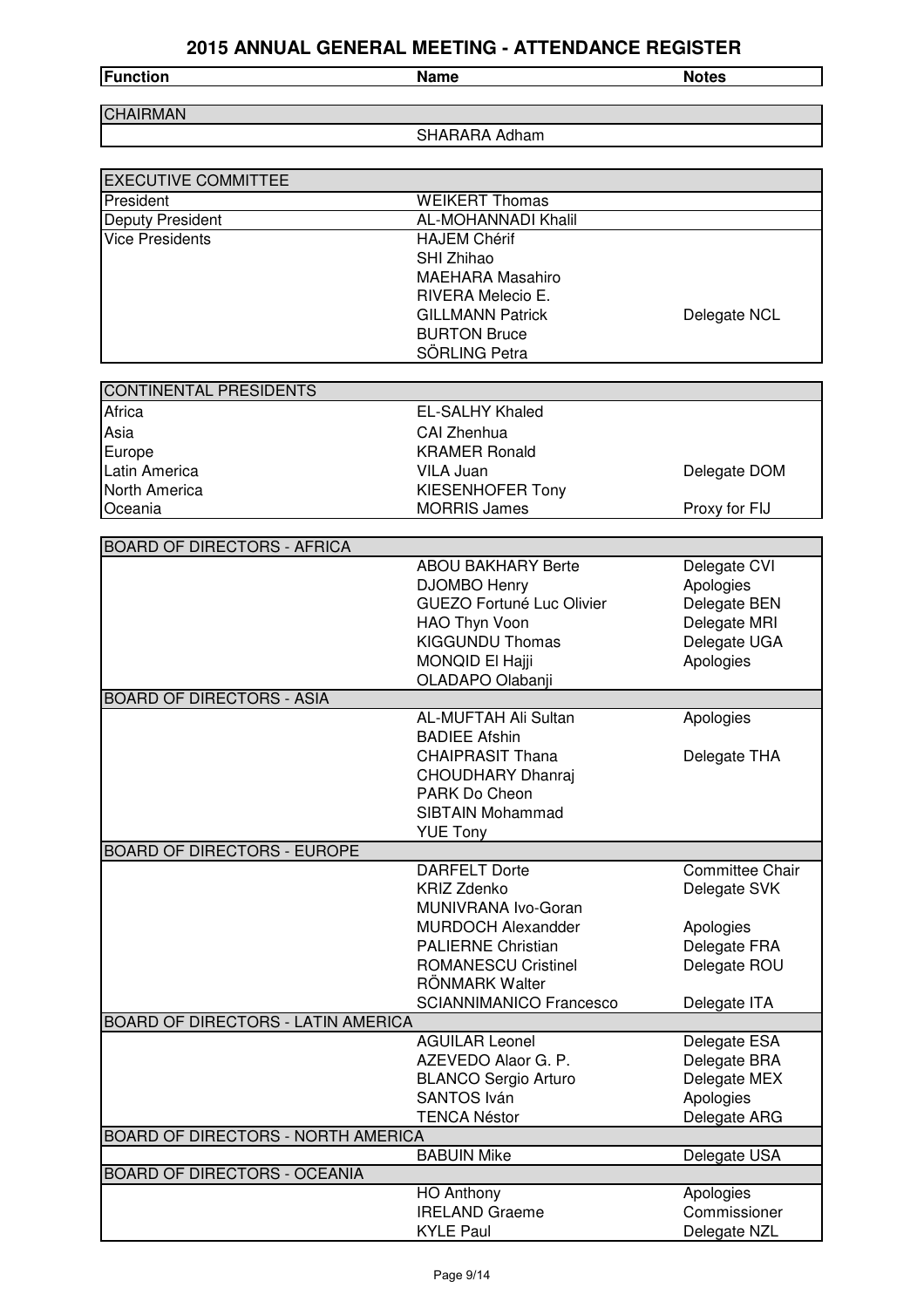| <b>Function</b> | Name | <b>Notes</b> |
|-----------------|------|--------------|
|                 |      |              |

SHARARA Adham

| <b>EXECUTIVE COMMITTEE</b>                |                                |                 |
|-------------------------------------------|--------------------------------|-----------------|
| President                                 | <b>WEIKERT Thomas</b>          |                 |
| Deputy President                          | AL-MOHANNADI Khalil            |                 |
| <b>Vice Presidents</b>                    | <b>HAJEM Chérif</b>            |                 |
|                                           | SHI Zhihao                     |                 |
|                                           | <b>MAEHARA Masahiro</b>        |                 |
|                                           | RIVERA Melecio E.              |                 |
|                                           | <b>GILLMANN Patrick</b>        | Delegate NCL    |
|                                           | <b>BURTON Bruce</b>            |                 |
|                                           | SÖRLING Petra                  |                 |
|                                           |                                |                 |
| CONTINENTAL PRESIDENTS                    |                                |                 |
| Africa                                    | <b>EL-SALHY Khaled</b>         |                 |
| Asia                                      | CAI Zhenhua                    |                 |
| Europe                                    | <b>KRAMER Ronald</b>           |                 |
| Latin America                             | VILA Juan                      | Delegate DOM    |
| <b>North America</b>                      | KIESENHOFER Tony               |                 |
| Oceania                                   | <b>MORRIS James</b>            | Proxy for FIJ   |
| <b>BOARD OF DIRECTORS - AFRICA</b>        |                                |                 |
|                                           | <b>ABOU BAKHARY Berte</b>      | Delegate CVI    |
|                                           | DJOMBO Henry                   | Apologies       |
|                                           | GUEZO Fortuné Luc Olivier      | Delegate BEN    |
|                                           | HAO Thyn Voon                  | Delegate MRI    |
|                                           | <b>KIGGUNDU Thomas</b>         | Delegate UGA    |
|                                           | MONQID El Hajji                | Apologies       |
|                                           | OLADAPO Olabanji               |                 |
| <b>BOARD OF DIRECTORS - ASIA</b>          |                                |                 |
|                                           | AL-MUFTAH Ali Sultan           | Apologies       |
|                                           | <b>BADIEE Afshin</b>           |                 |
|                                           | <b>CHAIPRASIT Thana</b>        | Delegate THA    |
|                                           | <b>CHOUDHARY Dhanraj</b>       |                 |
|                                           | PARK Do Cheon                  |                 |
|                                           | <b>SIBTAIN Mohammad</b>        |                 |
|                                           | <b>YUE Tony</b>                |                 |
| <b>BOARD OF DIRECTORS - EUROPE</b>        |                                |                 |
|                                           | <b>DARFELT Dorte</b>           | Committee Chair |
|                                           | <b>KRIZ Zdenko</b>             | Delegate SVK    |
|                                           | MUNIVRANA Ivo-Goran            |                 |
|                                           | <b>MURDOCH Alexandder</b>      | Apologies       |
|                                           | <b>PALIERNE Christian</b>      | Delegate FRA    |
|                                           | <b>ROMANESCU Cristinel</b>     | Delegate ROU    |
|                                           | RÖNMARK Walter                 |                 |
|                                           | <b>SCIANNIMANICO Francesco</b> | Delegate ITA    |
| BOARD OF DIRECTORS - LATIN AMERICA        |                                |                 |
|                                           | <b>AGUILAR Leonel</b>          | Delegate ESA    |
|                                           | AZEVEDO Alaor G. P.            | Delegate BRA    |
|                                           | <b>BLANCO Sergio Arturo</b>    | Delegate MEX    |
|                                           | SANTOS Iván                    | Apologies       |
|                                           | <b>TENCA Néstor</b>            | Delegate ARG    |
| <b>BOARD OF DIRECTORS - NORTH AMERICA</b> | <b>BABUIN Mike</b>             | Delegate USA    |
| <b>BOARD OF DIRECTORS - OCEANIA</b>       |                                |                 |
|                                           | <b>HO Anthony</b>              | Apologies       |
|                                           | <b>IRELAND Graeme</b>          | Commissioner    |
|                                           | <b>KYLE Paul</b>               | Delegate NZL    |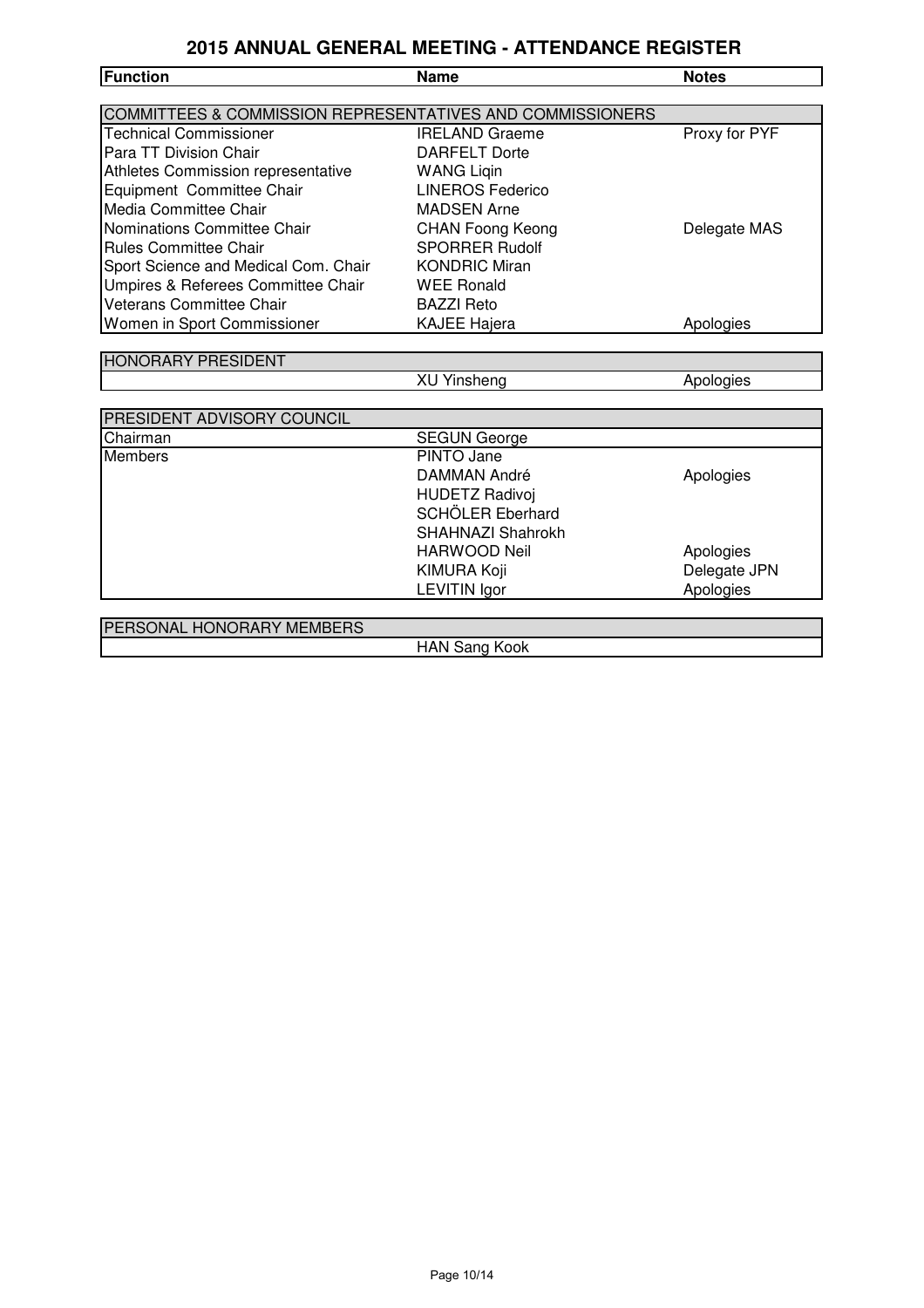| <b>Function</b>                                                      | <b>Name</b>             | <b>Notes</b>  |
|----------------------------------------------------------------------|-------------------------|---------------|
|                                                                      |                         |               |
| <b>COMMITTEES &amp; COMMISSION REPRESENTATIVES AND COMMISSIONERS</b> |                         |               |
| <b>Technical Commissioner</b>                                        | <b>IRELAND Graeme</b>   | Proxy for PYF |
| Para TT Division Chair                                               | <b>DARFELT Dorte</b>    |               |
| Athletes Commission representative                                   | <b>WANG Ligin</b>       |               |
| Equipment Committee Chair                                            | <b>LINEROS Federico</b> |               |
| Media Committee Chair                                                | <b>MADSEN Arne</b>      |               |
| Nominations Committee Chair                                          | <b>CHAN Foong Keong</b> | Delegate MAS  |
| <b>Rules Committee Chair</b>                                         | <b>SPORRER Rudolf</b>   |               |
| Sport Science and Medical Com. Chair                                 | <b>KONDRIC Miran</b>    |               |
| Umpires & Referees Committee Chair                                   | <b>WEE Ronald</b>       |               |
| Veterans Committee Chair                                             | <b>BAZZI Reto</b>       |               |
| Women in Sport Commissioner                                          | <b>KAJEE Hajera</b>     | Apologies     |
|                                                                      |                         |               |
| <b>HONORARY PRESIDENT</b>                                            |                         |               |
|                                                                      | <b>XU Yinsheng</b>      | Apologies     |
|                                                                      |                         |               |
| PRESIDENT ADVISORY COUNCIL                                           |                         |               |
| Chairman                                                             | <b>SEGUN George</b>     |               |
| Members                                                              | PINTO Jane              |               |
|                                                                      | <b>DAMMAN André</b>     | Apologies     |
|                                                                      | <b>HUDETZ Radivoj</b>   |               |
|                                                                      | SCHÖLER Eberhard        |               |
|                                                                      | SHAHNAZI Shahrokh       |               |
|                                                                      | <b>HARWOOD Neil</b>     | Apologies     |
|                                                                      | <b>KIMURA Koji</b>      | Delegate JPN  |
|                                                                      | <b>LEVITIN Igor</b>     | Apologies     |
|                                                                      |                         |               |
| PERSONAL HONORARY MEMBERS                                            |                         |               |
|                                                                      | <b>HAN Sang Kook</b>    |               |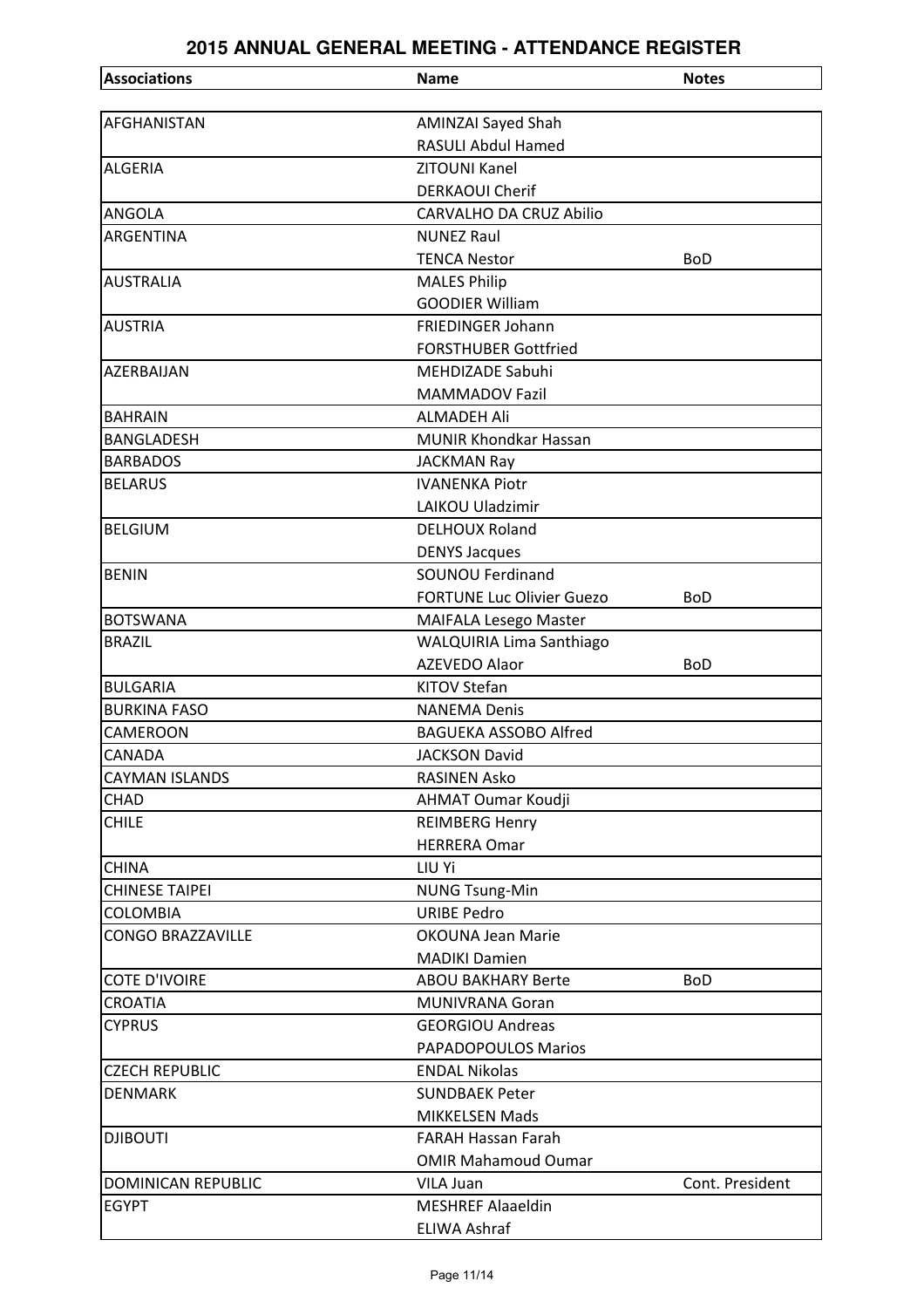| <b>Associations</b>       | <b>Name</b>                      | <b>Notes</b>    |
|---------------------------|----------------------------------|-----------------|
|                           |                                  |                 |
| AFGHANISTAN               | <b>AMINZAI Sayed Shah</b>        |                 |
|                           | <b>RASULI Abdul Hamed</b>        |                 |
| <b>ALGERIA</b>            | ZITOUNI Kanel                    |                 |
|                           | <b>DERKAOUI Cherif</b>           |                 |
| <b>ANGOLA</b>             | <b>CARVALHO DA CRUZ Abilio</b>   |                 |
| ARGENTINA                 | <b>NUNEZ Raul</b>                |                 |
|                           | <b>TENCA Nestor</b>              | <b>BoD</b>      |
| <b>AUSTRALIA</b>          | <b>MALES Philip</b>              |                 |
|                           | <b>GOODIER William</b>           |                 |
| <b>AUSTRIA</b>            | FRIEDINGER Johann                |                 |
|                           | <b>FORSTHUBER Gottfried</b>      |                 |
| AZERBAIJAN                | <b>MEHDIZADE Sabuhi</b>          |                 |
|                           | <b>MAMMADOV Fazil</b>            |                 |
| <b>BAHRAIN</b>            | <b>ALMADEH Ali</b>               |                 |
| <b>BANGLADESH</b>         | <b>MUNIR Khondkar Hassan</b>     |                 |
| <b>BARBADOS</b>           | <b>JACKMAN Ray</b>               |                 |
| <b>BELARUS</b>            | <b>IVANENKA Piotr</b>            |                 |
|                           | <b>LAIKOU Uladzimir</b>          |                 |
| <b>BELGIUM</b>            | <b>DELHOUX Roland</b>            |                 |
|                           | <b>DENYS Jacques</b>             |                 |
| <b>BENIN</b>              | <b>SOUNOU Ferdinand</b>          |                 |
|                           | <b>FORTUNE Luc Olivier Guezo</b> | <b>BoD</b>      |
| <b>BOTSWANA</b>           | MAIFALA Lesego Master            |                 |
| <b>BRAZIL</b>             | WALQUIRIA Lima Santhiago         |                 |
|                           | <b>AZEVEDO Alaor</b>             | <b>BoD</b>      |
| <b>BULGARIA</b>           | <b>KITOV Stefan</b>              |                 |
| <b>BURKINA FASO</b>       | <b>NANEMA Denis</b>              |                 |
| CAMEROON                  | <b>BAGUEKA ASSOBO Alfred</b>     |                 |
| <b>CANADA</b>             | <b>JACKSON David</b>             |                 |
| <b>CAYMAN ISLANDS</b>     | <b>RASINEN Asko</b>              |                 |
| CHAD                      | <b>AHMAT Oumar Koudji</b>        |                 |
| <b>CHILE</b>              | <b>REIMBERG Henry</b>            |                 |
|                           | <b>HERRERA Omar</b>              |                 |
| <b>CHINA</b>              | LIU Yi                           |                 |
| <b>CHINESE TAIPEI</b>     | <b>NUNG Tsung-Min</b>            |                 |
| <b>COLOMBIA</b>           | <b>URIBE Pedro</b>               |                 |
| <b>CONGO BRAZZAVILLE</b>  | <b>OKOUNA Jean Marie</b>         |                 |
|                           | <b>MADIKI Damien</b>             |                 |
| <b>COTE D'IVOIRE</b>      | <b>ABOU BAKHARY Berte</b>        | <b>BoD</b>      |
| <b>CROATIA</b>            | <b>MUNIVRANA Goran</b>           |                 |
| <b>CYPRUS</b>             | <b>GEORGIOU Andreas</b>          |                 |
|                           | PAPADOPOULOS Marios              |                 |
| <b>CZECH REPUBLIC</b>     | <b>ENDAL Nikolas</b>             |                 |
| <b>DENMARK</b>            | <b>SUNDBAEK Peter</b>            |                 |
|                           | <b>MIKKELSEN Mads</b>            |                 |
| <b>DJIBOUTI</b>           | FARAH Hassan Farah               |                 |
|                           | <b>OMIR Mahamoud Oumar</b>       |                 |
| <b>DOMINICAN REPUBLIC</b> | VILA Juan                        | Cont. President |
| <b>EGYPT</b>              | <b>MESHREF Alaaeldin</b>         |                 |
|                           | <b>ELIWA Ashraf</b>              |                 |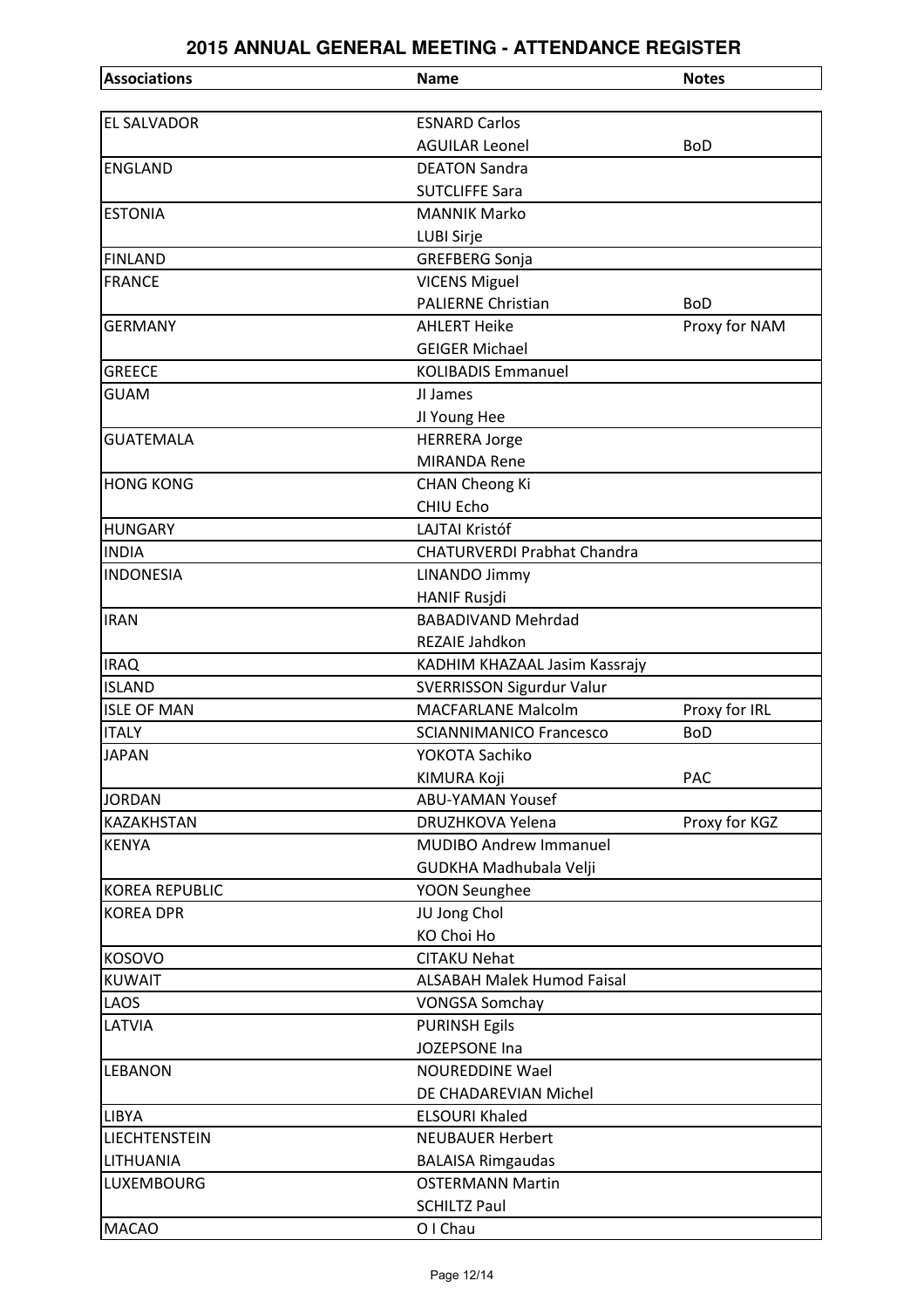| <b>Associations</b>   | <b>Name</b>                        | <b>Notes</b>  |
|-----------------------|------------------------------------|---------------|
|                       |                                    |               |
| <b>EL SALVADOR</b>    | <b>ESNARD Carlos</b>               |               |
|                       | <b>AGUILAR Leonel</b>              | <b>BoD</b>    |
| <b>ENGLAND</b>        | <b>DEATON Sandra</b>               |               |
|                       | <b>SUTCLIFFE Sara</b>              |               |
| <b>ESTONIA</b>        | <b>MANNIK Marko</b>                |               |
|                       | LUBI Sirje                         |               |
| <b>FINLAND</b>        | <b>GREFBERG Sonja</b>              |               |
| <b>FRANCE</b>         | <b>VICENS Miguel</b>               |               |
|                       | <b>PALIERNE Christian</b>          | <b>BoD</b>    |
| <b>GERMANY</b>        | <b>AHLERT Heike</b>                | Proxy for NAM |
|                       | <b>GEIGER Michael</b>              |               |
| <b>GREECE</b>         | <b>KOLIBADIS Emmanuel</b>          |               |
| <b>GUAM</b>           | JI James                           |               |
|                       | JI Young Hee                       |               |
| <b>GUATEMALA</b>      | <b>HERRERA Jorge</b>               |               |
|                       | <b>MIRANDA Rene</b>                |               |
| <b>HONG KONG</b>      | <b>CHAN Cheong Ki</b>              |               |
|                       | CHIU Echo                          |               |
| <b>HUNGARY</b>        | <b>LAJTAI Kristóf</b>              |               |
| <b>INDIA</b>          | <b>CHATURVERDI Prabhat Chandra</b> |               |
| <b>INDONESIA</b>      | <b>LINANDO Jimmy</b>               |               |
|                       | <b>HANIF Rusjdi</b>                |               |
| <b>IRAN</b>           | <b>BABADIVAND Mehrdad</b>          |               |
|                       | REZAIE Jahdkon                     |               |
| <b>IRAQ</b>           | KADHIM KHAZAAL Jasim Kassrajy      |               |
| <b>ISLAND</b>         | SVERRISSON Sigurdur Valur          |               |
| <b>ISLE OF MAN</b>    | <b>MACFARLANE Malcolm</b>          | Proxy for IRL |
| <b>ITALY</b>          | <b>SCIANNIMANICO Francesco</b>     | <b>BoD</b>    |
| <b>JAPAN</b>          | YOKOTA Sachiko                     |               |
|                       | KIMURA Koji                        | <b>PAC</b>    |
| <b>JORDAN</b>         | <b>ABU-YAMAN Yousef</b>            |               |
| <b>KAZAKHSTAN</b>     | DRUZHKOVA Yelena                   | Proxy for KGZ |
| <b>KENYA</b>          | <b>MUDIBO Andrew Immanuel</b>      |               |
|                       | GUDKHA Madhubala Velji             |               |
| <b>KOREA REPUBLIC</b> | YOON Seunghee                      |               |
| <b>KOREA DPR</b>      | JU Jong Chol                       |               |
|                       | <b>KO Choi Ho</b>                  |               |
| <b>KOSOVO</b>         | <b>CITAKU Nehat</b>                |               |
| <b>KUWAIT</b>         | <b>ALSABAH Malek Humod Faisal</b>  |               |
| LAOS                  | <b>VONGSA Somchay</b>              |               |
| LATVIA                | <b>PURINSH Egils</b>               |               |
|                       | JOZEPSONE Ina                      |               |
| <b>LEBANON</b>        | <b>NOUREDDINE Wael</b>             |               |
|                       | DE CHADAREVIAN Michel              |               |
| <b>LIBYA</b>          | <b>ELSOURI Khaled</b>              |               |
| LIECHTENSTEIN         | <b>NEUBAUER Herbert</b>            |               |
| LITHUANIA             | <b>BALAISA Rimgaudas</b>           |               |
| <b>LUXEMBOURG</b>     | <b>OSTERMANN Martin</b>            |               |
|                       | <b>SCHILTZ Paul</b>                |               |
| <b>MACAO</b>          | O I Chau                           |               |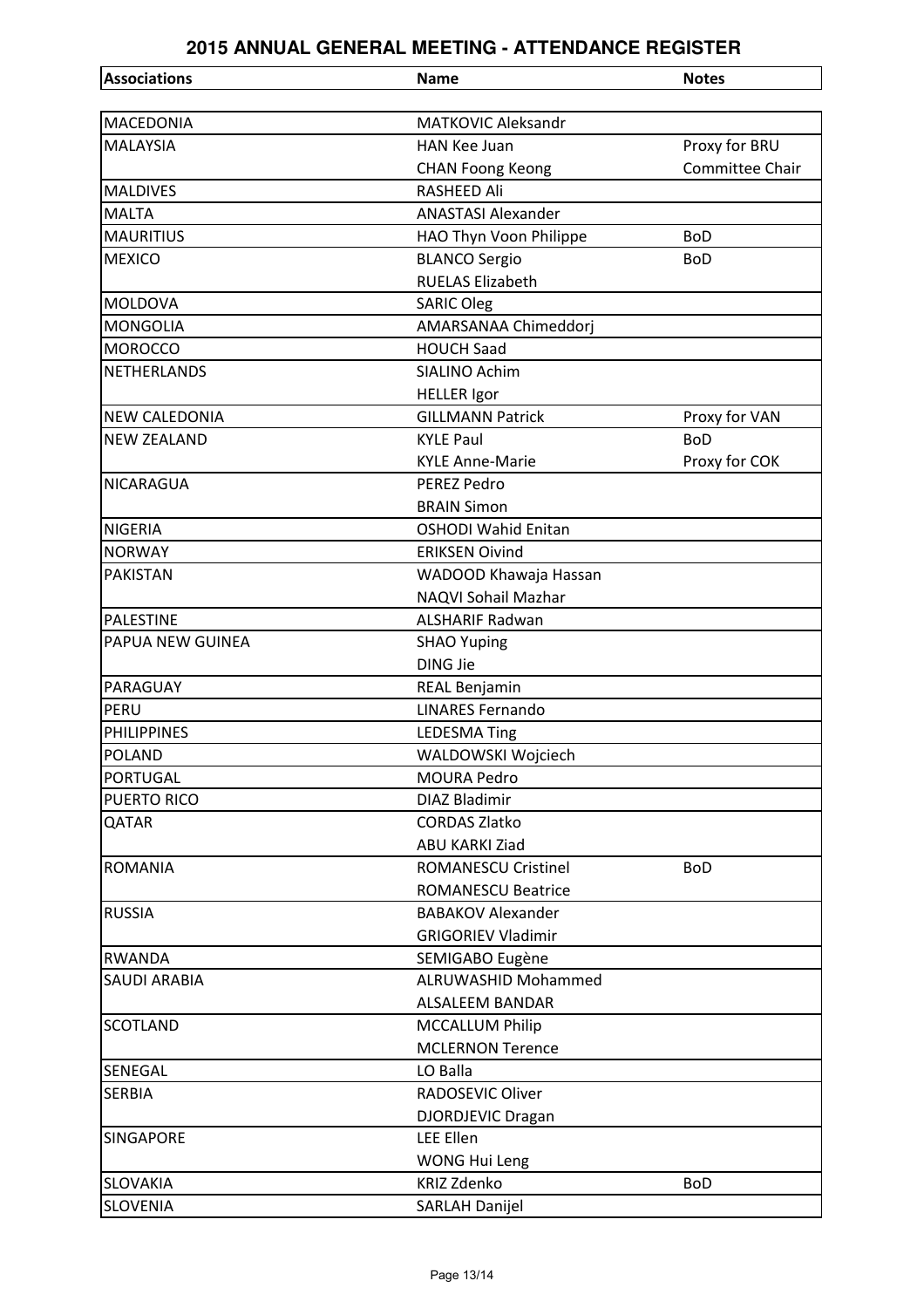| <b>Associations</b>  | <b>Name</b>                | <b>Notes</b>    |
|----------------------|----------------------------|-----------------|
|                      |                            |                 |
| <b>MACEDONIA</b>     | <b>MATKOVIC Aleksandr</b>  |                 |
| <b>MALAYSIA</b>      | <b>HAN Kee Juan</b>        | Proxy for BRU   |
|                      | <b>CHAN Foong Keong</b>    | Committee Chair |
| <b>MALDIVES</b>      | <b>RASHEED Ali</b>         |                 |
| <b>MALTA</b>         | <b>ANASTASI Alexander</b>  |                 |
| <b>MAURITIUS</b>     | HAO Thyn Voon Philippe     | <b>BoD</b>      |
| <b>MEXICO</b>        | <b>BLANCO Sergio</b>       | <b>BoD</b>      |
|                      | <b>RUELAS Elizabeth</b>    |                 |
| <b>MOLDOVA</b>       | <b>SARIC Oleg</b>          |                 |
| <b>MONGOLIA</b>      | AMARSANAA Chimeddorj       |                 |
| <b>MOROCCO</b>       | <b>HOUCH Saad</b>          |                 |
| <b>NETHERLANDS</b>   | SIALINO Achim              |                 |
|                      | <b>HELLER</b> Igor         |                 |
| <b>NEW CALEDONIA</b> | <b>GILLMANN Patrick</b>    | Proxy for VAN   |
| <b>NEW ZEALAND</b>   | <b>KYLE Paul</b>           | <b>BoD</b>      |
|                      | <b>KYLE Anne-Marie</b>     | Proxy for COK   |
| <b>NICARAGUA</b>     | PEREZ Pedro                |                 |
|                      | <b>BRAIN Simon</b>         |                 |
| <b>NIGERIA</b>       | <b>OSHODI Wahid Enitan</b> |                 |
| <b>NORWAY</b>        | <b>ERIKSEN Oivind</b>      |                 |
| <b>PAKISTAN</b>      | WADOOD Khawaja Hassan      |                 |
|                      | NAQVI Sohail Mazhar        |                 |
| <b>PALESTINE</b>     | <b>ALSHARIF Radwan</b>     |                 |
| PAPUA NEW GUINEA     | <b>SHAO Yuping</b>         |                 |
|                      | <b>DING Jie</b>            |                 |
| PARAGUAY             | <b>REAL Benjamin</b>       |                 |
| PERU                 | <b>LINARES Fernando</b>    |                 |
| <b>PHILIPPINES</b>   | <b>LEDESMA Ting</b>        |                 |
| <b>POLAND</b>        | WALDOWSKI Wojciech         |                 |
| <b>PORTUGAL</b>      | <b>MOURA Pedro</b>         |                 |
| <b>PUERTO RICO</b>   | <b>DIAZ Bladimir</b>       |                 |
| QATAR                | <b>CORDAS Zlatko</b>       |                 |
|                      | <b>ABU KARKI Ziad</b>      |                 |
| <b>ROMANIA</b>       | <b>ROMANESCU Cristinel</b> | <b>BoD</b>      |
|                      | <b>ROMANESCU Beatrice</b>  |                 |
| <b>RUSSIA</b>        | <b>BABAKOV Alexander</b>   |                 |
|                      | <b>GRIGORIEV Vladimir</b>  |                 |
| <b>RWANDA</b>        | SEMIGABO Eugène            |                 |
| <b>SAUDI ARABIA</b>  | <b>ALRUWASHID Mohammed</b> |                 |
|                      | <b>ALSALEEM BANDAR</b>     |                 |
| <b>SCOTLAND</b>      | <b>MCCALLUM Philip</b>     |                 |
|                      | <b>MCLERNON Terence</b>    |                 |
| <b>SENEGAL</b>       | LO Balla                   |                 |
| <b>SERBIA</b>        | RADOSEVIC Oliver           |                 |
|                      | DJORDJEVIC Dragan          |                 |
| <b>SINGAPORE</b>     | <b>LEE Ellen</b>           |                 |
|                      | <b>WONG Hui Leng</b>       |                 |
| <b>SLOVAKIA</b>      | <b>KRIZ Zdenko</b>         | <b>BoD</b>      |
| <b>SLOVENIA</b>      | <b>SARLAH Danijel</b>      |                 |